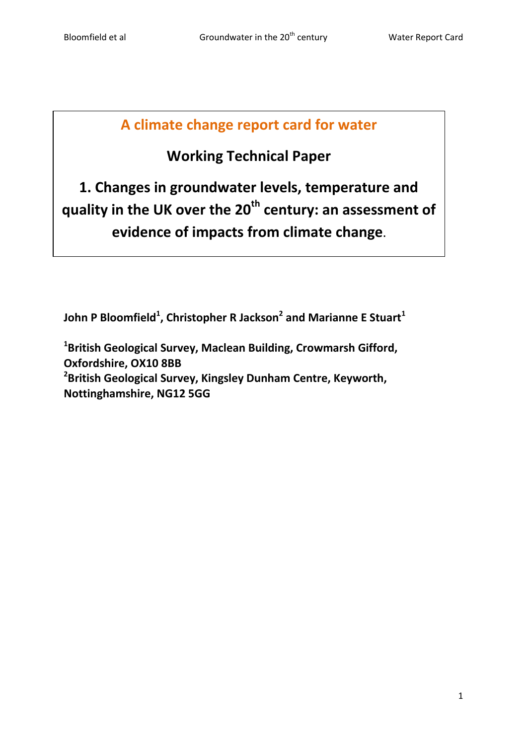# **A climate change report card for water**

# **Working Technical Paper**

**1. Changes in groundwater levels, temperature and quality in the UK over the 20th century: an assessment of evidence of impacts from climate change.**

**John P Bloomfield<sup>1</sup> , Christopher R Jackson<sup>2</sup> and Marianne E Stuart<sup>1</sup>**

**1 British Geological Survey, Maclean Building, Crowmarsh Gifford, Oxfordshire, OX10 8BB 2 British Geological Survey, Kingsley Dunham Centre, Keyworth, Nottinghamshire, NG12 5GG**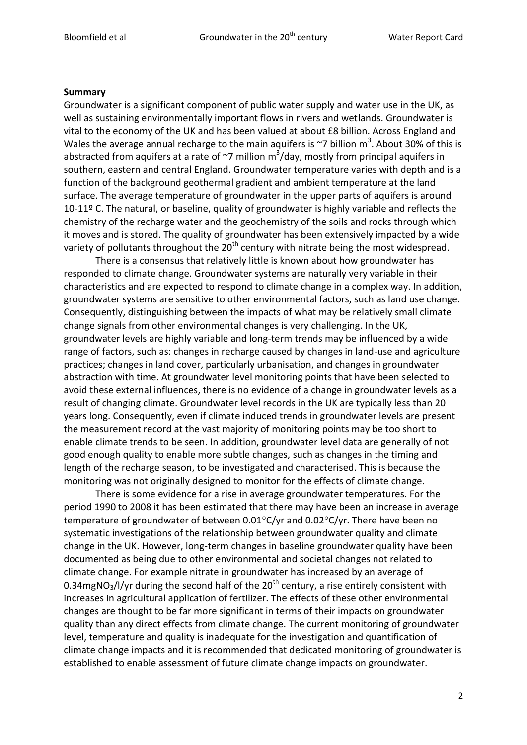#### **Summary**

Groundwater is a significant component of public water supply and water use in the UK, as well as sustaining environmentally important flows in rivers and wetlands. Groundwater is vital to the economy of the UK and has been valued at about £8 billion. Across England and Wales the average annual recharge to the main aquifers is  $\sim$ 7 billion m<sup>3</sup>. About 30% of this is abstracted from aquifers at a rate of  $\sim$ 7 million m<sup>3</sup>/day, mostly from principal aquifers in southern, eastern and central England. Groundwater temperature varies with depth and is a function of the background geothermal gradient and ambient temperature at the land surface. The average temperature of groundwater in the upper parts of aquifers is around 10-11º C. The natural, or baseline, quality of groundwater is highly variable and reflects the chemistry of the recharge water and the geochemistry of the soils and rocks through which it moves and is stored. The quality of groundwater has been extensively impacted by a wide variety of pollutants throughout the  $20<sup>th</sup>$  century with nitrate being the most widespread.

There is a consensus that relatively little is known about how groundwater has responded to climate change. Groundwater systems are naturally very variable in their characteristics and are expected to respond to climate change in a complex way. In addition, groundwater systems are sensitive to other environmental factors, such as land use change. Consequently, distinguishing between the impacts of what may be relatively small climate change signals from other environmental changes is very challenging. In the UK, groundwater levels are highly variable and long-term trends may be influenced by a wide range of factors, such as: changes in recharge caused by changes in land-use and agriculture practices; changes in land cover, particularly urbanisation, and changes in groundwater abstraction with time. At groundwater level monitoring points that have been selected to avoid these external influences, there is no evidence of a change in groundwater levels as a result of changing climate. Groundwater level records in the UK are typically less than 20 years long. Consequently, even if climate induced trends in groundwater levels are present the measurement record at the vast majority of monitoring points may be too short to enable climate trends to be seen. In addition, groundwater level data are generally of not good enough quality to enable more subtle changes, such as changes in the timing and length of the recharge season, to be investigated and characterised. This is because the monitoring was not originally designed to monitor for the effects of climate change.

There is some evidence for a rise in average groundwater temperatures. For the period 1990 to 2008 it has been estimated that there may have been an increase in average temperature of groundwater of between  $0.01^{\circ}$ C/yr and  $0.02^{\circ}$ C/yr. There have been no systematic investigations of the relationship between groundwater quality and climate change in the UK. However, long-term changes in baseline groundwater quality have been documented as being due to other environmental and societal changes not related to climate change. For example nitrate in groundwater has increased by an average of 0.34mgNO<sub>3</sub>/l/yr during the second half of the 20<sup>th</sup> century, a rise entirely consistent with increases in agricultural application of fertilizer. The effects of these other environmental changes are thought to be far more significant in terms of their impacts on groundwater quality than any direct effects from climate change. The current monitoring of groundwater level, temperature and quality is inadequate for the investigation and quantification of climate change impacts and it is recommended that dedicated monitoring of groundwater is established to enable assessment of future climate change impacts on groundwater.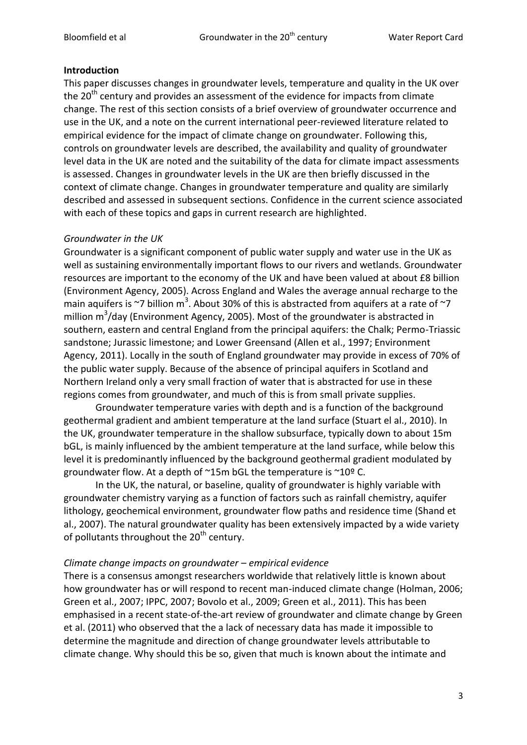### **Introduction**

This paper discusses changes in groundwater levels, temperature and quality in the UK over the  $20<sup>th</sup>$  century and provides an assessment of the evidence for impacts from climate change. The rest of this section consists of a brief overview of groundwater occurrence and use in the UK, and a note on the current international peer-reviewed literature related to empirical evidence for the impact of climate change on groundwater. Following this, controls on groundwater levels are described, the availability and quality of groundwater level data in the UK are noted and the suitability of the data for climate impact assessments is assessed. Changes in groundwater levels in the UK are then briefly discussed in the context of climate change. Changes in groundwater temperature and quality are similarly described and assessed in subsequent sections. Confidence in the current science associated with each of these topics and gaps in current research are highlighted.

### *Groundwater in the UK*

Groundwater is a significant component of public water supply and water use in the UK as well as sustaining environmentally important flows to our rivers and wetlands. Groundwater resources are important to the economy of the UK and have been valued at about £8 billion (Environment Agency, 2005). Across England and Wales the average annual recharge to the main aquifers is ~7 billion m<sup>3</sup>. About 30% of this is abstracted from aquifers at a rate of ~7 million m<sup>3</sup>/day (Environment Agency, 2005). Most of the groundwater is abstracted in southern, eastern and central England from the principal aquifers: the Chalk; Permo-Triassic sandstone; Jurassic limestone; and Lower Greensand (Allen et al., 1997; Environment Agency, 2011). Locally in the south of England groundwater may provide in excess of 70% of the public water supply. Because of the absence of principal aquifers in Scotland and Northern Ireland only a very small fraction of water that is abstracted for use in these regions comes from groundwater, and much of this is from small private supplies.

Groundwater temperature varies with depth and is a function of the background geothermal gradient and ambient temperature at the land surface (Stuart el al., 2010). In the UK, groundwater temperature in the shallow subsurface, typically down to about 15m bGL, is mainly influenced by the ambient temperature at the land surface, while below this level it is predominantly influenced by the background geothermal gradient modulated by groundwater flow. At a depth of ~15m bGL the temperature is ~10º C.

In the UK, the natural, or baseline, quality of groundwater is highly variable with groundwater chemistry varying as a function of factors such as rainfall chemistry, aquifer lithology, geochemical environment, groundwater flow paths and residence time (Shand et al., 2007). The natural groundwater quality has been extensively impacted by a wide variety of pollutants throughout the  $20<sup>th</sup>$  century.

#### *Climate change impacts on groundwater – empirical evidence*

There is a consensus amongst researchers worldwide that relatively little is known about how groundwater has or will respond to recent man-induced climate change (Holman, 2006; Green et al., 2007; IPPC, 2007; Bovolo et al., 2009; Green et al., 2011). This has been emphasised in a recent state-of-the-art review of groundwater and climate change by Green et al. (2011) who observed that the a lack of necessary data has made it impossible to determine the magnitude and direction of change groundwater levels attributable to climate change. Why should this be so, given that much is known about the intimate and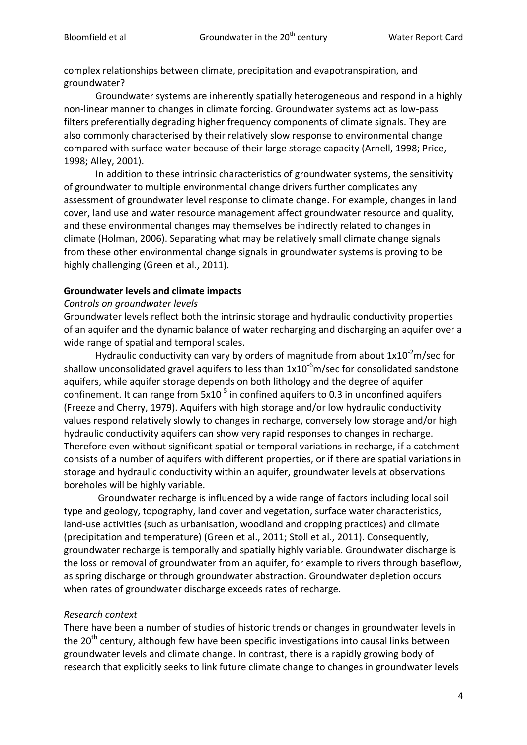complex relationships between climate, precipitation and evapotranspiration, and groundwater?

Groundwater systems are inherently spatially heterogeneous and respond in a highly non-linear manner to changes in climate forcing. Groundwater systems act as low-pass filters preferentially degrading higher frequency components of climate signals. They are also commonly characterised by their relatively slow response to environmental change compared with surface water because of their large storage capacity (Arnell, 1998; Price, 1998; Alley, 2001).

In addition to these intrinsic characteristics of groundwater systems, the sensitivity of groundwater to multiple environmental change drivers further complicates any assessment of groundwater level response to climate change. For example, changes in land cover, land use and water resource management affect groundwater resource and quality, and these environmental changes may themselves be indirectly related to changes in climate (Holman, 2006). Separating what may be relatively small climate change signals from these other environmental change signals in groundwater systems is proving to be highly challenging (Green et al., 2011).

#### **Groundwater levels and climate impacts**

#### *Controls on groundwater levels*

Groundwater levels reflect both the intrinsic storage and hydraulic conductivity properties of an aquifer and the dynamic balance of water recharging and discharging an aquifer over a wide range of spatial and temporal scales.

Hydraulic conductivity can vary by orders of magnitude from about  $1x10^{-2}$ m/sec for shallow unconsolidated gravel aquifers to less than  $1x10^{-6}$ m/sec for consolidated sandstone aquifers, while aquifer storage depends on both lithology and the degree of aquifer confinement. It can range from  $5x10^{-5}$  in confined aquifers to 0.3 in unconfined aquifers (Freeze and Cherry, 1979). Aquifers with high storage and/or low hydraulic conductivity values respond relatively slowly to changes in recharge, conversely low storage and/or high hydraulic conductivity aquifers can show very rapid responses to changes in recharge. Therefore even without significant spatial or temporal variations in recharge, if a catchment consists of a number of aquifers with different properties, or if there are spatial variations in storage and hydraulic conductivity within an aquifer, groundwater levels at observations boreholes will be highly variable.

Groundwater recharge is influenced by a wide range of factors including local soil type and geology, topography, land cover and vegetation, surface water characteristics, land-use activities (such as urbanisation, woodland and cropping practices) and climate (precipitation and temperature) (Green et al., 2011; Stoll et al., 2011). Consequently, groundwater recharge is temporally and spatially highly variable. Groundwater discharge is the loss or removal of groundwater from an aquifer, for example to rivers through baseflow, as spring discharge or through groundwater abstraction. Groundwater depletion occurs when rates of groundwater discharge exceeds rates of recharge.

## *Research context*

There have been a number of studies of historic trends or changes in groundwater levels in the 20<sup>th</sup> century, although few have been specific investigations into causal links between groundwater levels and climate change. In contrast, there is a rapidly growing body of research that explicitly seeks to link future climate change to changes in groundwater levels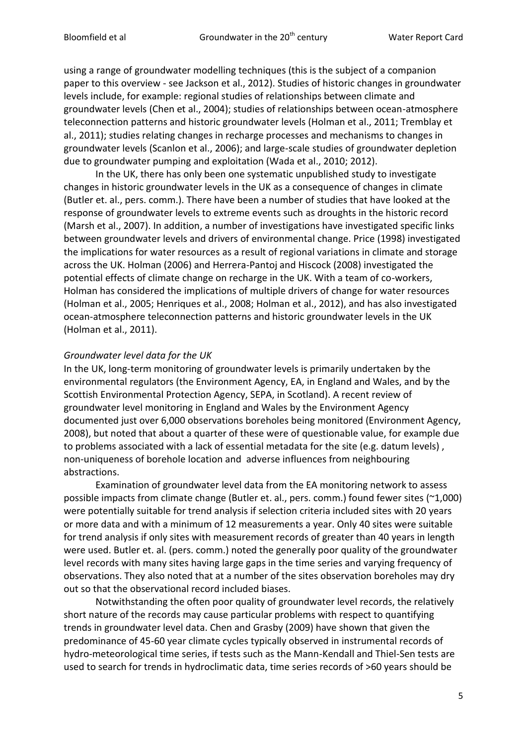using a range of groundwater modelling techniques (this is the subject of a companion paper to this overview - see Jackson et al., 2012). Studies of historic changes in groundwater levels include, for example: regional studies of relationships between climate and groundwater levels (Chen et al., 2004); studies of relationships between ocean-atmosphere teleconnection patterns and historic groundwater levels (Holman et al., 2011; Tremblay et al., 2011); studies relating changes in recharge processes and mechanisms to changes in groundwater levels (Scanlon et al., 2006); and large-scale studies of groundwater depletion due to groundwater pumping and exploitation (Wada et al., 2010; 2012).

In the UK, there has only been one systematic unpublished study to investigate changes in historic groundwater levels in the UK as a consequence of changes in climate (Butler et. al., pers. comm.). There have been a number of studies that have looked at the response of groundwater levels to extreme events such as droughts in the historic record (Marsh et al., 2007). In addition, a number of investigations have investigated specific links between groundwater levels and drivers of environmental change. Price (1998) investigated the implications for water resources as a result of regional variations in climate and storage across the UK. Holman (2006) and Herrera-Pantoj and Hiscock (2008) investigated the potential effects of climate change on recharge in the UK. With a team of co-workers, Holman has considered the implications of multiple drivers of change for water resources (Holman et al., 2005; Henriques et al., 2008; Holman et al., 2012), and has also investigated ocean-atmosphere teleconnection patterns and historic groundwater levels in the UK (Holman et al., 2011).

#### *Groundwater level data for the UK*

In the UK, long-term monitoring of groundwater levels is primarily undertaken by the environmental regulators (the Environment Agency, EA, in England and Wales, and by the Scottish Environmental Protection Agency, SEPA, in Scotland). A recent review of groundwater level monitoring in England and Wales by the Environment Agency documented just over 6,000 observations boreholes being monitored (Environment Agency, 2008), but noted that about a quarter of these were of questionable value, for example due to problems associated with a lack of essential metadata for the site (e.g. datum levels) , non-uniqueness of borehole location and adverse influences from neighbouring abstractions.

Examination of groundwater level data from the EA monitoring network to assess possible impacts from climate change (Butler et. al., pers. comm.) found fewer sites (~1,000) were potentially suitable for trend analysis if selection criteria included sites with 20 years or more data and with a minimum of 12 measurements a year. Only 40 sites were suitable for trend analysis if only sites with measurement records of greater than 40 years in length were used. Butler et. al. (pers. comm.) noted the generally poor quality of the groundwater level records with many sites having large gaps in the time series and varying frequency of observations. They also noted that at a number of the sites observation boreholes may dry out so that the observational record included biases.

Notwithstanding the often poor quality of groundwater level records, the relatively short nature of the records may cause particular problems with respect to quantifying trends in groundwater level data. Chen and Grasby (2009) have shown that given the predominance of 45-60 year climate cycles typically observed in instrumental records of hydro-meteorological time series, if tests such as the Mann-Kendall and Thiel-Sen tests are used to search for trends in hydroclimatic data, time series records of >60 years should be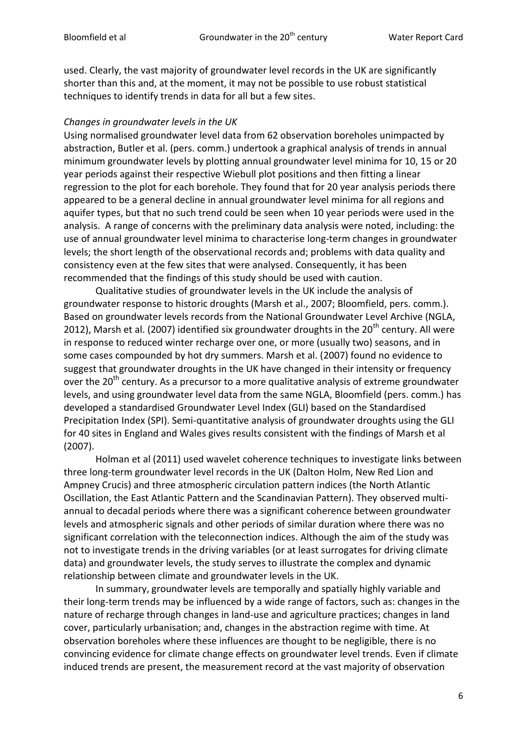used. Clearly, the vast majority of groundwater level records in the UK are significantly shorter than this and, at the moment, it may not be possible to use robust statistical techniques to identify trends in data for all but a few sites.

#### *Changes in groundwater levels in the UK*

Using normalised groundwater level data from 62 observation boreholes unimpacted by abstraction, Butler et al. (pers. comm.) undertook a graphical analysis of trends in annual minimum groundwater levels by plotting annual groundwater level minima for 10, 15 or 20 year periods against their respective Wiebull plot positions and then fitting a linear regression to the plot for each borehole. They found that for 20 year analysis periods there appeared to be a general decline in annual groundwater level minima for all regions and aquifer types, but that no such trend could be seen when 10 year periods were used in the analysis. A range of concerns with the preliminary data analysis were noted, including: the use of annual groundwater level minima to characterise long-term changes in groundwater levels; the short length of the observational records and; problems with data quality and consistency even at the few sites that were analysed. Consequently, it has been recommended that the findings of this study should be used with caution.

Qualitative studies of groundwater levels in the UK include the analysis of groundwater response to historic droughts (Marsh et al., 2007; Bloomfield, pers. comm.). Based on groundwater levels records from the National Groundwater Level Archive (NGLA, 2012), Marsh et al. (2007) identified six groundwater droughts in the  $20<sup>th</sup>$  century. All were in response to reduced winter recharge over one, or more (usually two) seasons, and in some cases compounded by hot dry summers. Marsh et al. (2007) found no evidence to suggest that groundwater droughts in the UK have changed in their intensity or frequency over the  $20<sup>th</sup>$  century. As a precursor to a more qualitative analysis of extreme groundwater levels, and using groundwater level data from the same NGLA, Bloomfield (pers. comm.) has developed a standardised Groundwater Level Index (GLI) based on the Standardised Precipitation Index (SPI). Semi-quantitative analysis of groundwater droughts using the GLI for 40 sites in England and Wales gives results consistent with the findings of Marsh et al (2007).

Holman et al (2011) used wavelet coherence techniques to investigate links between three long-term groundwater level records in the UK (Dalton Holm, New Red Lion and Ampney Crucis) and three atmospheric circulation pattern indices (the North Atlantic Oscillation, the East Atlantic Pattern and the Scandinavian Pattern). They observed multiannual to decadal periods where there was a significant coherence between groundwater levels and atmospheric signals and other periods of similar duration where there was no significant correlation with the teleconnection indices. Although the aim of the study was not to investigate trends in the driving variables (or at least surrogates for driving climate data) and groundwater levels, the study serves to illustrate the complex and dynamic relationship between climate and groundwater levels in the UK.

In summary, groundwater levels are temporally and spatially highly variable and their long-term trends may be influenced by a wide range of factors, such as: changes in the nature of recharge through changes in land-use and agriculture practices; changes in land cover, particularly urbanisation; and, changes in the abstraction regime with time. At observation boreholes where these influences are thought to be negligible, there is no convincing evidence for climate change effects on groundwater level trends. Even if climate induced trends are present, the measurement record at the vast majority of observation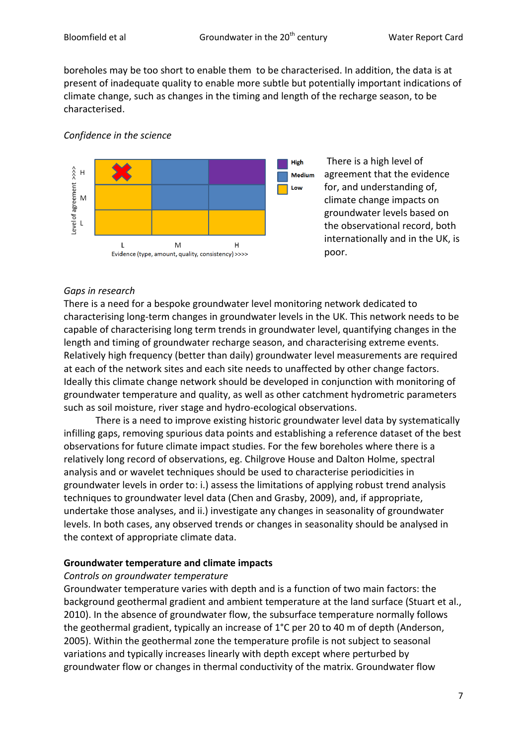boreholes may be too short to enable them to be characterised. In addition, the data is at present of inadequate quality to enable more subtle but potentially important indications of climate change, such as changes in the timing and length of the recharge season, to be characterised.

### *Confidence in the science*



There is a high level of agreement that the evidence for, and understanding of, climate change impacts on groundwater levels based on the observational record, both internationally and in the UK, is poor.

## *Gaps in research*

There is a need for a bespoke groundwater level monitoring network dedicated to characterising long-term changes in groundwater levels in the UK. This network needs to be capable of characterising long term trends in groundwater level, quantifying changes in the length and timing of groundwater recharge season, and characterising extreme events. Relatively high frequency (better than daily) groundwater level measurements are required at each of the network sites and each site needs to unaffected by other change factors. Ideally this climate change network should be developed in conjunction with monitoring of groundwater temperature and quality, as well as other catchment hydrometric parameters such as soil moisture, river stage and hydro-ecological observations.

There is a need to improve existing historic groundwater level data by systematically infilling gaps, removing spurious data points and establishing a reference dataset of the best observations for future climate impact studies. For the few boreholes where there is a relatively long record of observations, eg. Chilgrove House and Dalton Holme, spectral analysis and or wavelet techniques should be used to characterise periodicities in groundwater levels in order to: i.) assess the limitations of applying robust trend analysis techniques to groundwater level data (Chen and Grasby, 2009), and, if appropriate, undertake those analyses, and ii.) investigate any changes in seasonality of groundwater levels. In both cases, any observed trends or changes in seasonality should be analysed in the context of appropriate climate data.

## **Groundwater temperature and climate impacts**

## *Controls on groundwater temperature*

Groundwater temperature varies with depth and is a function of two main factors: the background geothermal gradient and ambient temperature at the land surface (Stuart et al., 2010). In the absence of groundwater flow, the subsurface temperature normally follows the geothermal gradient, typically an increase of 1°C per 20 to 40 m of depth (Anderson, 2005). Within the geothermal zone the temperature profile is not subject to seasonal variations and typically increases linearly with depth except where perturbed by groundwater flow or changes in thermal conductivity of the matrix. Groundwater flow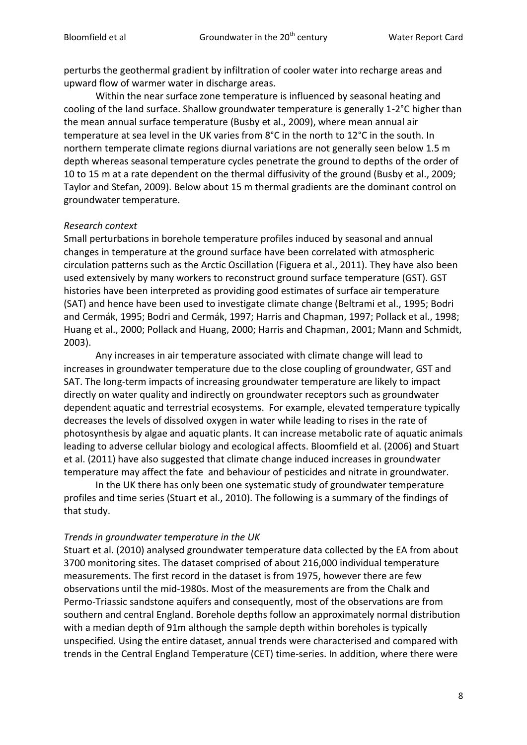perturbs the geothermal gradient by infiltration of cooler water into recharge areas and upward flow of warmer water in discharge areas.

Within the near surface zone temperature is influenced by seasonal heating and cooling of the land surface. Shallow groundwater temperature is generally 1-2°C higher than the mean annual surface temperature (Busby et al., 2009), where mean annual air temperature at sea level in the UK varies from 8°C in the north to 12°C in the south. In northern temperate climate regions diurnal variations are not generally seen below 1.5 m depth whereas seasonal temperature cycles penetrate the ground to depths of the order of 10 to 15 m at a rate dependent on the thermal diffusivity of the ground (Busby et al., 2009; Taylor and Stefan, 2009). Below about 15 m thermal gradients are the dominant control on groundwater temperature.

#### *Research context*

Small perturbations in borehole temperature profiles induced by seasonal and annual changes in temperature at the ground surface have been correlated with atmospheric circulation patterns such as the Arctic Oscillation (Figuera et al., 2011). They have also been used extensively by many workers to reconstruct ground surface temperature (GST). GST histories have been interpreted as providing good estimates of surface air temperature (SAT) and hence have been used to investigate climate change (Beltrami et al., 1995; Bodri and Cermák, 1995; Bodri and Cermák, 1997; Harris and Chapman, 1997; Pollack et al., 1998; Huang et al., 2000; Pollack and Huang, 2000; Harris and Chapman, 2001; Mann and Schmidt, 2003).

Any increases in air temperature associated with climate change will lead to increases in groundwater temperature due to the close coupling of groundwater, GST and SAT. The long-term impacts of increasing groundwater temperature are likely to impact directly on water quality and indirectly on groundwater receptors such as groundwater dependent aquatic and terrestrial ecosystems. For example, elevated temperature typically decreases the levels of dissolved oxygen in water while leading to rises in the rate of photosynthesis by algae and aquatic plants. It can increase metabolic rate of aquatic animals leading to adverse cellular biology and ecological affects. Bloomfield et al. (2006) and Stuart et al. (2011) have also suggested that climate change induced increases in groundwater temperature may affect the fate and behaviour of pesticides and nitrate in groundwater.

In the UK there has only been one systematic study of groundwater temperature profiles and time series (Stuart et al., 2010). The following is a summary of the findings of that study.

#### *Trends in groundwater temperature in the UK*

Stuart et al. (2010) analysed groundwater temperature data collected by the EA from about 3700 monitoring sites. The dataset comprised of about 216,000 individual temperature measurements. The first record in the dataset is from 1975, however there are few observations until the mid-1980s. Most of the measurements are from the Chalk and Permo-Triassic sandstone aquifers and consequently, most of the observations are from southern and central England. Borehole depths follow an approximately normal distribution with a median depth of 91m although the sample depth within boreholes is typically unspecified. Using the entire dataset, annual trends were characterised and compared with trends in the Central England Temperature (CET) time-series. In addition, where there were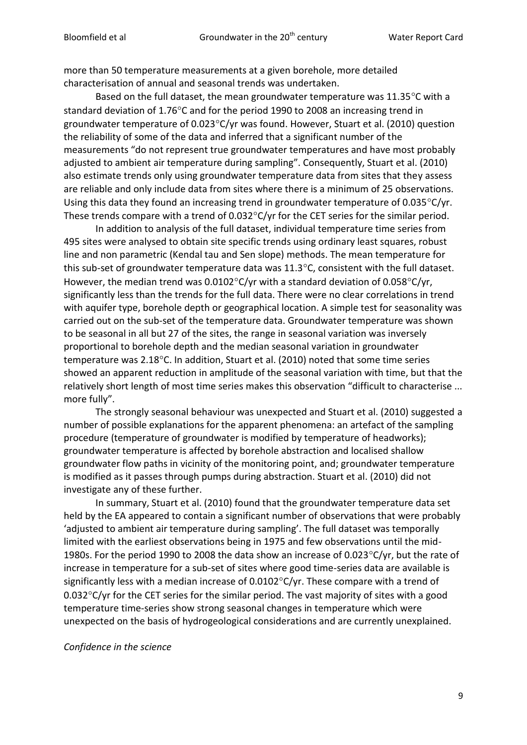more than 50 temperature measurements at a given borehole, more detailed characterisation of annual and seasonal trends was undertaken.

Based on the full dataset, the mean groundwater temperature was  $11.35^{\circ}$ C with a standard deviation of 1.76°C and for the period 1990 to 2008 an increasing trend in groundwater temperature of  $0.023^{\circ}$ C/yr was found. However, Stuart et al. (2010) question the reliability of some of the data and inferred that a significant number of the measurements "do not represent true groundwater temperatures and have most probably adjusted to ambient air temperature during sampling". Consequently, Stuart et al. (2010) also estimate trends only using groundwater temperature data from sites that they assess are reliable and only include data from sites where there is a minimum of 25 observations. Using this data they found an increasing trend in groundwater temperature of  $0.035^{\circ}$ C/yr. These trends compare with a trend of  $0.032^{\circ}$ C/yr for the CET series for the similar period.

In addition to analysis of the full dataset, individual temperature time series from 495 sites were analysed to obtain site specific trends using ordinary least squares, robust line and non parametric (Kendal tau and Sen slope) methods. The mean temperature for this sub-set of groundwater temperature data was  $11.3^{\circ}$ C, consistent with the full dataset. However, the median trend was  $0.0102^{\circ}$ C/yr with a standard deviation of  $0.058^{\circ}$ C/yr, significantly less than the trends for the full data. There were no clear correlations in trend with aquifer type, borehole depth or geographical location. A simple test for seasonality was carried out on the sub-set of the temperature data. Groundwater temperature was shown to be seasonal in all but 27 of the sites, the range in seasonal variation was inversely proportional to borehole depth and the median seasonal variation in groundwater temperature was 2.18°C. In addition, Stuart et al. (2010) noted that some time series showed an apparent reduction in amplitude of the seasonal variation with time, but that the relatively short length of most time series makes this observation "difficult to characterise ... more fully".

The strongly seasonal behaviour was unexpected and Stuart et al. (2010) suggested a number of possible explanations for the apparent phenomena: an artefact of the sampling procedure (temperature of groundwater is modified by temperature of headworks); groundwater temperature is affected by borehole abstraction and localised shallow groundwater flow paths in vicinity of the monitoring point, and; groundwater temperature is modified as it passes through pumps during abstraction. Stuart et al. (2010) did not investigate any of these further.

In summary, Stuart et al. (2010) found that the groundwater temperature data set held by the EA appeared to contain a significant number of observations that were probably 'adjusted to ambient air temperature during sampling'. The full dataset was temporally limited with the earliest observations being in 1975 and few observations until the mid-1980s. For the period 1990 to 2008 the data show an increase of 0.023 $\degree$ C/yr, but the rate of increase in temperature for a sub-set of sites where good time-series data are available is significantly less with a median increase of  $0.0102^{\circ}$ C/yr. These compare with a trend of  $0.032^{\circ}$ C/yr for the CET series for the similar period. The vast majority of sites with a good temperature time-series show strong seasonal changes in temperature which were unexpected on the basis of hydrogeological considerations and are currently unexplained.

#### *Confidence in the science*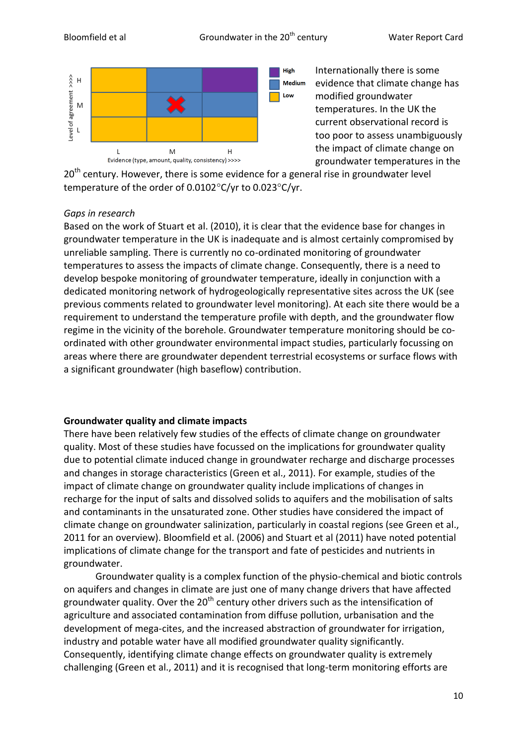**High** 

Low



Internationally there is some **Medium** evidence that climate change has modified groundwater temperatures. In the UK the current observational record is too poor to assess unambiguously the impact of climate change on groundwater temperatures in the

 $20<sup>th</sup>$  century. However, there is some evidence for a general rise in groundwater level temperature of the order of  $0.0102^{\circ}$ C/yr to  $0.023^{\circ}$ C/yr.

## *Gaps in research*

Based on the work of Stuart et al. (2010), it is clear that the evidence base for changes in groundwater temperature in the UK is inadequate and is almost certainly compromised by unreliable sampling. There is currently no co-ordinated monitoring of groundwater temperatures to assess the impacts of climate change. Consequently, there is a need to develop bespoke monitoring of groundwater temperature, ideally in conjunction with a dedicated monitoring network of hydrogeologically representative sites across the UK (see previous comments related to groundwater level monitoring). At each site there would be a requirement to understand the temperature profile with depth, and the groundwater flow regime in the vicinity of the borehole. Groundwater temperature monitoring should be coordinated with other groundwater environmental impact studies, particularly focussing on areas where there are groundwater dependent terrestrial ecosystems or surface flows with a significant groundwater (high baseflow) contribution.

## **Groundwater quality and climate impacts**

There have been relatively few studies of the effects of climate change on groundwater quality. Most of these studies have focussed on the implications for groundwater quality due to potential climate induced change in groundwater recharge and discharge processes and changes in storage characteristics (Green et al., 2011). For example, studies of the impact of climate change on groundwater quality include implications of changes in recharge for the input of salts and dissolved solids to aquifers and the mobilisation of salts and contaminants in the unsaturated zone. Other studies have considered the impact of climate change on groundwater salinization, particularly in coastal regions (see Green et al., 2011 for an overview). Bloomfield et al. (2006) and Stuart et al (2011) have noted potential implications of climate change for the transport and fate of pesticides and nutrients in groundwater.

Groundwater quality is a complex function of the physio-chemical and biotic controls on aquifers and changes in climate are just one of many change drivers that have affected groundwater quality. Over the  $20<sup>th</sup>$  century other drivers such as the intensification of agriculture and associated contamination from diffuse pollution, urbanisation and the development of mega-cites, and the increased abstraction of groundwater for irrigation, industry and potable water have all modified groundwater quality significantly. Consequently, identifying climate change effects on groundwater quality is extremely challenging (Green et al., 2011) and it is recognised that long-term monitoring efforts are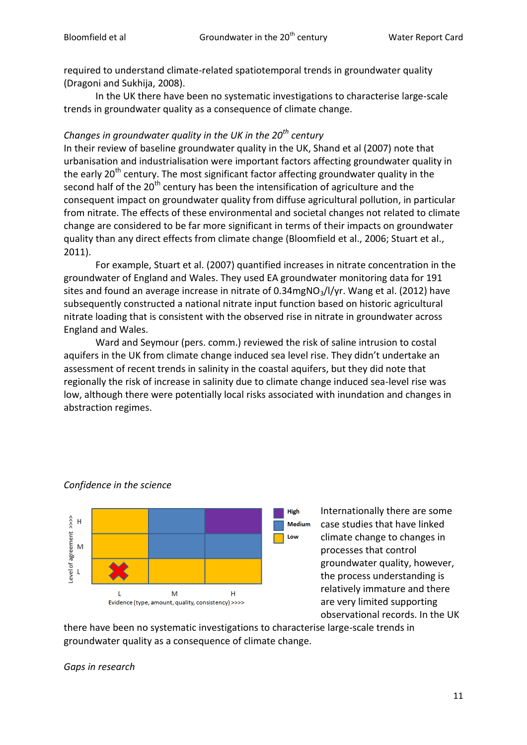required to understand climate-related spatiotemporal trends in groundwater quality (Dragoni and Sukhija, 2008).

In the UK there have been no systematic investigations to characterise large-scale trends in groundwater quality as a consequence of climate change.

## *Changes in groundwater quality in the UK in the 20th century*

In their review of baseline groundwater quality in the UK, Shand et al (2007) note that urbanisation and industrialisation were important factors affecting groundwater quality in the early 20<sup>th</sup> century. The most significant factor affecting groundwater quality in the second half of the  $20<sup>th</sup>$  century has been the intensification of agriculture and the consequent impact on groundwater quality from diffuse agricultural pollution, in particular from nitrate. The effects of these environmental and societal changes not related to climate change are considered to be far more significant in terms of their impacts on groundwater quality than any direct effects from climate change (Bloomfield et al., 2006; Stuart et al., 2011).

For example, Stuart et al. (2007) quantified increases in nitrate concentration in the groundwater of England and Wales. They used EA groundwater monitoring data for 191 sites and found an average increase in nitrate of  $0.34$ mgNO<sub>3</sub>/I/yr. Wang et al. (2012) have subsequently constructed a national nitrate input function based on historic agricultural nitrate loading that is consistent with the observed rise in nitrate in groundwater across England and Wales.

Ward and Seymour (pers. comm.) reviewed the risk of saline intrusion to costal aquifers in the UK from climate change induced sea level rise. They didn't undertake an assessment of recent trends in salinity in the coastal aquifers, but they did note that regionally the risk of increase in salinity due to climate change induced sea-level rise was low, although there were potentially local risks associated with inundation and changes in abstraction regimes.



## *Confidence in the science*

Internationally there are some case studies that have linked climate change to changes in processes that control groundwater quality, however, the process understanding is relatively immature and there are very limited supporting observational records. In the UK

there have been no systematic investigations to characterise large-scale trends in groundwater quality as a consequence of climate change.

*Gaps in research*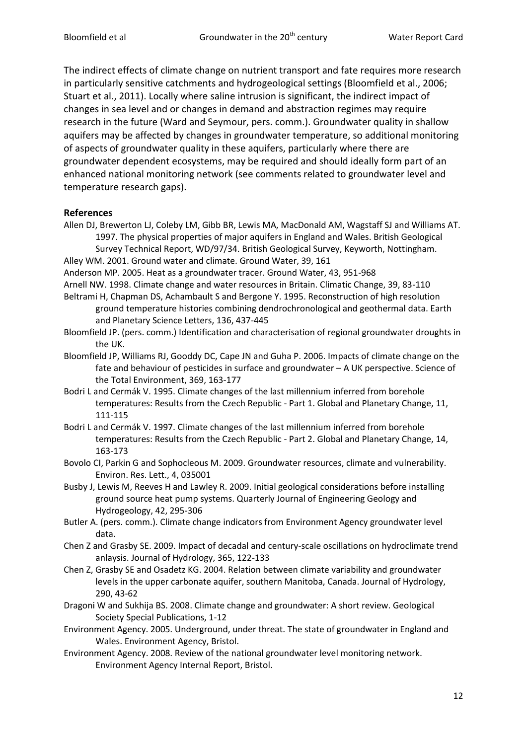The indirect effects of climate change on nutrient transport and fate requires more research in particularly sensitive catchments and hydrogeological settings (Bloomfield et al., 2006; Stuart et al., 2011). Locally where saline intrusion is significant, the indirect impact of changes in sea level and or changes in demand and abstraction regimes may require research in the future (Ward and Seymour, pers. comm.). Groundwater quality in shallow aquifers may be affected by changes in groundwater temperature, so additional monitoring of aspects of groundwater quality in these aquifers, particularly where there are groundwater dependent ecosystems, may be required and should ideally form part of an enhanced national monitoring network (see comments related to groundwater level and temperature research gaps).

#### **References**

- Allen DJ, Brewerton LJ, Coleby LM, Gibb BR, Lewis MA, MacDonald AM, Wagstaff SJ and Williams AT. 1997. The physical properties of major aquifers in England and Wales. British Geological
- Survey Technical Report, WD/97/34. British Geological Survey, Keyworth, Nottingham. Alley WM. 2001. Ground water and climate. Ground Water, 39, 161
- Anderson MP. 2005. Heat as a groundwater tracer. Ground Water, 43, 951-968
- Arnell NW. 1998. Climate change and water resources in Britain. Climatic Change, 39, 83-110
- Beltrami H, Chapman DS, Achambault S and Bergone Y. 1995. Reconstruction of high resolution ground temperature histories combining dendrochronological and geothermal data. Earth and Planetary Science Letters, 136, 437-445
- Bloomfield JP. (pers. comm.) Identification and characterisation of regional groundwater droughts in the UK.
- Bloomfield JP, Williams RJ, Gooddy DC, Cape JN and Guha P. 2006. Impacts of climate change on the fate and behaviour of pesticides in surface and groundwater – A UK perspective. Science of the Total Environment, 369, 163-177
- Bodri L and Cermák V. 1995. Climate changes of the last millennium inferred from borehole temperatures: Results from the Czech Republic - Part 1. Global and Planetary Change, 11, 111-115
- Bodri L and Cermák V. 1997. Climate changes of the last millennium inferred from borehole temperatures: Results from the Czech Republic - Part 2. Global and Planetary Change, 14, 163-173
- Bovolo CI, Parkin G and Sophocleous M. 2009. Groundwater resources, climate and vulnerability. Environ. Res. Lett., 4, 035001
- Busby J, Lewis M, Reeves H and Lawley R. 2009. Initial geological considerations before installing ground source heat pump systems. Quarterly Journal of Engineering Geology and Hydrogeology, 42, 295-306
- Butler A. (pers. comm.). Climate change indicators from Environment Agency groundwater level data.
- Chen Z and Grasby SE. 2009. Impact of decadal and century-scale oscillations on hydroclimate trend anlaysis. Journal of Hydrology, 365, 122-133
- Chen Z, Grasby SE and Osadetz KG. 2004. Relation between climate variability and groundwater levels in the upper carbonate aquifer, southern Manitoba, Canada. Journal of Hydrology, 290, 43-62
- Dragoni W and Sukhija BS. 2008. Climate change and groundwater: A short review. Geological Society Special Publications, 1-12
- Environment Agency. 2005. Underground, under threat. The state of groundwater in England and Wales. Environment Agency, Bristol.
- Environment Agency. 2008. Review of the national groundwater level monitoring network. Environment Agency Internal Report, Bristol.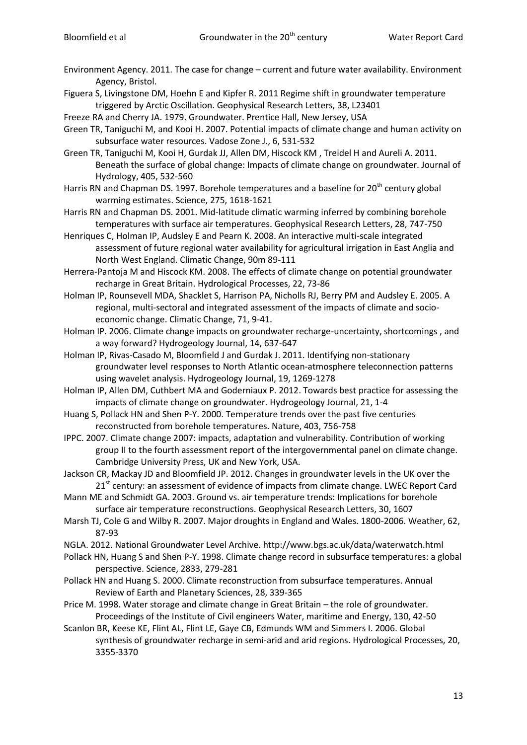- Environment Agency. 2011. The case for change current and future water availability. Environment Agency, Bristol.
- Figuera S, Livingstone DM, Hoehn E and Kipfer R. 2011 Regime shift in groundwater temperature triggered by Arctic Oscillation. Geophysical Research Letters, 38, L23401

Freeze RA and Cherry JA. 1979. Groundwater. Prentice Hall, New Jersey, USA

Green TR, Taniguchi M, and Kooi H. 2007. Potential impacts of climate change and human activity on subsurface water resources. Vadose Zone J., 6, 531-532

Green TR, Taniguchi M, Kooi H, Gurdak JJ, Allen DM, Hiscock KM , Treidel H and Aureli A. 2011. Beneath the surface of global change: Impacts of climate change on groundwater. Journal of Hydrology, 405, 532-560

Harris RN and Chapman DS. 1997. Borehole temperatures and a baseline for 20<sup>th</sup> century global warming estimates. Science, 275, 1618-1621

Harris RN and Chapman DS. 2001. Mid-latitude climatic warming inferred by combining borehole temperatures with surface air temperatures. Geophysical Research Letters, 28, 747-750

Henriques C, Holman IP, Audsley E and Pearn K. 2008. An interactive multi-scale integrated assessment of future regional water availability for agricultural irrigation in East Anglia and North West England. Climatic Change, 90m 89-111

Herrera-Pantoja M and Hiscock KM. 2008. The effects of climate change on potential groundwater recharge in Great Britain. Hydrological Processes, 22, 73-86

Holman IP, Rounsevell MDA, Shacklet S, Harrison PA, Nicholls RJ, Berry PM and Audsley E. 2005. A regional, multi-sectoral and integrated assessment of the impacts of climate and socioeconomic change. Climatic Change, 71, 9-41.

Holman IP. 2006. Climate change impacts on groundwater recharge-uncertainty, shortcomings , and a way forward? Hydrogeology Journal, 14, 637-647

Holman IP, Rivas-Casado M, Bloomfield J and Gurdak J. 2011. Identifying non-stationary groundwater level responses to North Atlantic ocean-atmosphere teleconnection patterns using wavelet analysis. Hydrogeology Journal, 19, 1269-1278

Holman IP, Allen DM, Cuthbert MA and Goderniaux P. 2012. Towards best practice for assessing the impacts of climate change on groundwater. Hydrogeology Journal, 21, 1-4

Huang S, Pollack HN and Shen P-Y. 2000. Temperature trends over the past five centuries reconstructed from borehole temperatures. Nature, 403, 756-758

IPPC. 2007. Climate change 2007: impacts, adaptation and vulnerability. Contribution of working group II to the fourth assessment report of the intergovernmental panel on climate change. Cambridge University Press, UK and New York, USA.

Jackson CR, Mackay JD and Bloomfield JP. 2012. Changes in groundwater levels in the UK over the 21<sup>st</sup> century: an assessment of evidence of impacts from climate change. LWEC Report Card

- Mann ME and Schmidt GA. 2003. Ground vs. air temperature trends: Implications for borehole surface air temperature reconstructions. Geophysical Research Letters, 30, 1607
- Marsh TJ, Cole G and Wilby R. 2007. Major droughts in England and Wales. 1800-2006. Weather, 62, 87-93
- NGLA. 2012. National Groundwater Level Archive. http://www.bgs.ac.uk/data/waterwatch.html

Pollack HN, Huang S and Shen P-Y. 1998. Climate change record in subsurface temperatures: a global perspective. Science, 2833, 279-281

Pollack HN and Huang S. 2000. Climate reconstruction from subsurface temperatures. Annual Review of Earth and Planetary Sciences, 28, 339-365

- Price M. 1998. Water storage and climate change in Great Britain the role of groundwater. Proceedings of the Institute of Civil engineers Water, maritime and Energy, 130, 42-50
- Scanlon BR, Keese KE, Flint AL, Flint LE, Gaye CB, Edmunds WM and Simmers I. 2006. Global synthesis of groundwater recharge in semi-arid and arid regions. Hydrological Processes, 20, 3355-3370